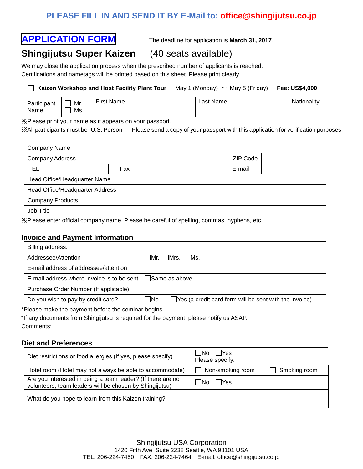## **PLEASE FILL IN AND SEND IT BY E-Mail to: office@shingijutsu.co.jp**

# **APPLICATION FORM** The deadline for application is **March 31, 2017**.

## **Shingijutsu Super Kaizen** (40 seats available)

We may close the application process when the prescribed number of applicants is reached. Certifications and nametags will be printed based on this sheet. Please print clearly.

| Kaizen Workshop and Host Facility Plant Tour |     |            | May 1 (Monday) $\sim$ May 5 (Friday) |           |  | <b>Fee: US\$4,000</b> |
|----------------------------------------------|-----|------------|--------------------------------------|-----------|--|-----------------------|
| Participant                                  | Mr. | First Name |                                      | Last Name |  | Nationality           |
| Name                                         | Ms. |            |                                      |           |  |                       |

※Please print your name as it appears on your passport.

※All participants must be "U.S. Person". Please send a copy of your passport with this application for verification purposes.

| <b>Company Name</b>             |     |  |          |
|---------------------------------|-----|--|----------|
| <b>Company Address</b>          |     |  | ZIP Code |
| <b>TEL</b>                      | Fax |  | E-mail   |
| Head Office/Headquarter Name    |     |  |          |
| Head Office/Headquarter Address |     |  |          |
| <b>Company Products</b>         |     |  |          |
| Job Title                       |     |  |          |

※Please enter official company name. Please be careful of spelling, commas, hyphens, etc.

### **Invoice and Payment Information**

|                                                                 | Billing address:                      |                                                                            |  |  |  |  |
|-----------------------------------------------------------------|---------------------------------------|----------------------------------------------------------------------------|--|--|--|--|
| Addressee/Attention                                             |                                       | $\Box$ Mr. $\Box$ Mrs. $\Box$ Ms.                                          |  |  |  |  |
|                                                                 | E-mail address of addressee/attention |                                                                            |  |  |  |  |
| E-mail address where invoice is to be sent $\Box$ Same as above |                                       |                                                                            |  |  |  |  |
|                                                                 | Purchase Order Number (If applicable) |                                                                            |  |  |  |  |
|                                                                 | Do you wish to pay by credit card?    | $\Box$ No<br>$\Box$ Yes (a credit card form will be sent with the invoice) |  |  |  |  |
|                                                                 |                                       |                                                                            |  |  |  |  |

\*Please make the payment before the seminar begins.

\*If any documents from Shingijutsu is required for the payment, please notify us ASAP. Comments:

### **Diet and Preferences**

| Diet restrictions or food allergies (If yes, please specify)                                                           | $\exists$ Yes<br>- No<br>Please specify: |
|------------------------------------------------------------------------------------------------------------------------|------------------------------------------|
| Hotel room (Hotel may not always be able to accommodate)                                                               | Non-smoking room<br>Smoking room         |
| Are you interested in being a team leader? (If there are no<br>volunteers, team leaders will be chosen by Shingijutsu) | <b>IYes</b><br>-INo                      |
| What do you hope to learn from this Kaizen training?                                                                   |                                          |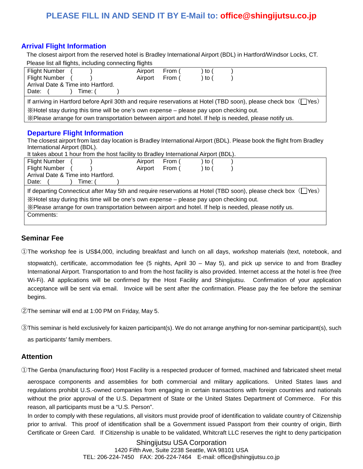## **PLEASE FILL IN AND SEND IT BY E-Mail to: office@shingijutsu.co.jp**

## **Arrival Flight Information**

The closest airport from the reserved hotel is Bradley International Airport (BDL) in Hartford/Windsor Locks, CT. Please list all flights, including connecting flights

| <b>Flight Number</b>                                                                                                   | Airport                                                                                 | <b>From</b> | to |  |  |  |
|------------------------------------------------------------------------------------------------------------------------|-----------------------------------------------------------------------------------------|-------------|----|--|--|--|
| <b>Flight Number</b>                                                                                                   | Airport                                                                                 | From (      | to |  |  |  |
| Arrival Date & Time into Hartford.                                                                                     |                                                                                         |             |    |  |  |  |
| Date:<br>Time: (                                                                                                       |                                                                                         |             |    |  |  |  |
| If arriving in Hartford before April 30th and require reservations at Hotel (TBD soon), please check box (TYes)        |                                                                                         |             |    |  |  |  |
|                                                                                                                        | X Hotel stay during this time will be one's own expense – please pay upon checking out. |             |    |  |  |  |
| . X Please arrange for own transportation between airport and hotel. If help is needed, please notify us.              |                                                                                         |             |    |  |  |  |
| <b>Departure Flight Information</b>                                                                                    |                                                                                         |             |    |  |  |  |
| The closest airport from last day location is Bradley International Airport (BDL). Please book the flight from Bradley |                                                                                         |             |    |  |  |  |
| International Airport (BDL).                                                                                           |                                                                                         |             |    |  |  |  |
| It takes about 1 hour from the host facility to Bradley International Airport (BDL).                                   |                                                                                         |             |    |  |  |  |

| <b>Flight Number</b>                                                                                               | Airport | From ( | to ( |  |
|--------------------------------------------------------------------------------------------------------------------|---------|--------|------|--|
| <b>Flight Number</b>                                                                                               | Airport | From ( | to ( |  |
| Arrival Date & Time into Hartford.                                                                                 |         |        |      |  |
| Date:<br>Time: (                                                                                                   |         |        |      |  |
| If departing Connecticut after May 5th and require reservations at Hotel (TBD soon), please check box $(\Box$ Yes) |         |        |      |  |
| X Hotel stay during this time will be one's own expense – please pay upon checking out.                            |         |        |      |  |
| . X Please arrange for own transportation between airport and hotel. If help is needed, please notify us.          |         |        |      |  |
| Comments:                                                                                                          |         |        |      |  |
|                                                                                                                    |         |        |      |  |

### **Seminar Fee**

①The workshop fee is US\$4,000, including breakfast and lunch on all days, workshop materials (text, notebook, and

stopwatch), certificate, accommodation fee (5 nights, April 30 – May 5), and pick up service to and from Bradley International Airport. Transportation to and from the host facility is also provided. Internet access at the hotel is free (free Wi-Fi). All applications will be confirmed by the Host Facility and Shingijutsu. Confirmation of your application acceptance will be sent via email. Invoice will be sent after the confirmation. Please pay the fee before the seminar begins.

②The seminar will end at 1:00 PM on Friday, May 5.

③This seminar is held exclusively for kaizen participant(s). We do not arrange anything for non-seminar participant(s), such

as participants' family members.

### **Attention**

①The Genba (manufacturing floor) Host Facility is a respected producer of formed, machined and fabricated sheet metal

aerospace components and assemblies for both commercial and military applications. United States laws and regulations prohibit U.S.-owned companies from engaging in certain transactions with foreign countries and nationals without the prior approval of the U.S. Department of State or the United States Department of Commerce. For this reason, all participants must be a "U.S. Person".

In order to comply with these regulations, all visitors must provide proof of identification to validate country of Citizenship prior to arrival. This proof of identification shall be a Government issued Passport from their country of origin, Birth Certificate or Green Card. If Citizenship is unable to be validated, Whitcraft LLC reserves the right to deny participation

> Shingijutsu USA Corporation 1420 Fifth Ave, Suite 2238 Seattle, WA 98101 USA TEL: 206-224-7450 FAX: 206-224-7464 E-mail: office@shingijutsu.co.jp